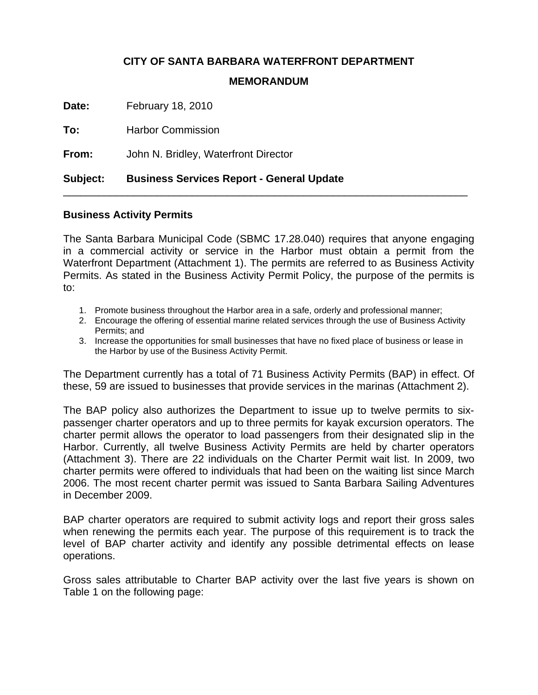# **CITY OF SANTA BARBARA WATERFRONT DEPARTMENT**

#### **MEMORANDUM**

**Date:** February 18, 2010

**To:** Harbor Commission

**From:** John N. Bridley, Waterfront Director

## **Subject: Business Services Report - General Update**

## **Business Activity Permits**

The Santa Barbara Municipal Code (SBMC 17.28.040) requires that anyone engaging in a commercial activity or service in the Harbor must obtain a permit from the Waterfront Department (Attachment 1). The permits are referred to as Business Activity Permits. As stated in the Business Activity Permit Policy, the purpose of the permits is to:

\_\_\_\_\_\_\_\_\_\_\_\_\_\_\_\_\_\_\_\_\_\_\_\_\_\_\_\_\_\_\_\_\_\_\_\_\_\_\_\_\_\_\_\_\_\_\_\_\_\_\_\_\_\_\_\_\_\_\_\_\_\_\_\_\_\_\_\_\_

- 1. Promote business throughout the Harbor area in a safe, orderly and professional manner;
- 2. Encourage the offering of essential marine related services through the use of Business Activity Permits; and
- 3. Increase the opportunities for small businesses that have no fixed place of business or lease in the Harbor by use of the Business Activity Permit.

The Department currently has a total of 71 Business Activity Permits (BAP) in effect. Of these, 59 are issued to businesses that provide services in the marinas (Attachment 2).

The BAP policy also authorizes the Department to issue up to twelve permits to sixpassenger charter operators and up to three permits for kayak excursion operators. The charter permit allows the operator to load passengers from their designated slip in the Harbor. Currently, all twelve Business Activity Permits are held by charter operators (Attachment 3). There are 22 individuals on the Charter Permit wait list. In 2009, two charter permits were offered to individuals that had been on the waiting list since March 2006. The most recent charter permit was issued to Santa Barbara Sailing Adventures in December 2009.

BAP charter operators are required to submit activity logs and report their gross sales when renewing the permits each year. The purpose of this requirement is to track the level of BAP charter activity and identify any possible detrimental effects on lease operations.

Gross sales attributable to Charter BAP activity over the last five years is shown on Table 1 on the following page: